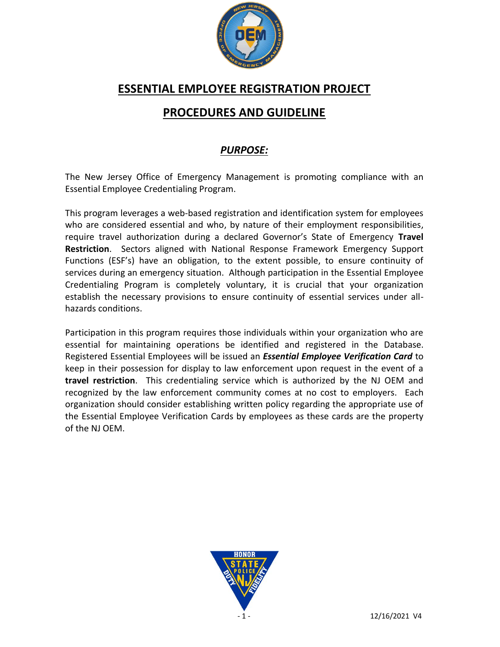

## **ESSENTIAL EMPLOYEE REGISTRATION PROJECT**

# **PROCEDURES AND GUIDELINE**

### *PURPOSE:*

The New Jersey Office of Emergency Management is promoting compliance with an Essential Employee Credentialing Program.

This program leverages a web-based registration and identification system for employees who are considered essential and who, by nature of their employment responsibilities, require travel authorization during a declared Governor's State of Emergency **Travel Restriction**. Sectors aligned with National Response Framework Emergency Support Functions (ESF's) have an obligation, to the extent possible, to ensure continuity of services during an emergency situation. Although participation in the Essential Employee Credentialing Program is completely voluntary, it is crucial that your organization establish the necessary provisions to ensure continuity of essential services under allhazards conditions.

Participation in this program requires those individuals within your organization who are essential for maintaining operations be identified and registered in the Database. Registered Essential Employees will be issued an *Essential Employee Verification Card* to keep in their possession for display to law enforcement upon request in the event of a **travel restriction**. This credentialing service which is authorized by the NJ OEM and recognized by the law enforcement community comes at no cost to employers. Each organization should consider establishing written policy regarding the appropriate use of the Essential Employee Verification Cards by employees as these cards are the property of the NJ OEM.

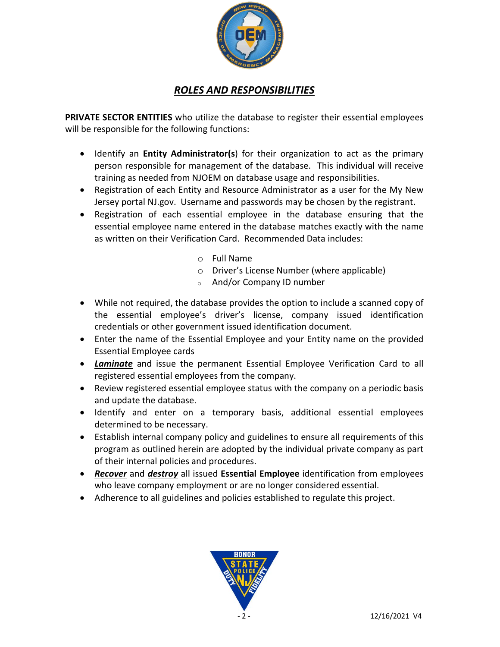

#### *ROLES AND RESPONSIBILITIES*

**PRIVATE SECTOR ENTITIES** who utilize the database to register their essential employees will be responsible for the following functions:

- Identify an **Entity Administrator(s**) for their organization to act as the primary person responsible for management of the database. This individual will receive training as needed from NJOEM on database usage and responsibilities.
- Registration of each Entity and Resource Administrator as a user for the My New Jersey portal NJ.gov. Username and passwords may be chosen by the registrant.
- Registration of each essential employee in the database ensuring that the essential employee name entered in the database matches exactly with the name as written on their Verification Card. Recommended Data includes:
	- o Full Name
	- o Driver's License Number (where applicable)
	- <sup>o</sup> And/or Company ID number
- While not required, the database provides the option to include a scanned copy of the essential employee's driver's license, company issued identification credentials or other government issued identification document.
- Enter the name of the Essential Employee and your Entity name on the provided Essential Employee cards
- *Laminate* and issue the permanent Essential Employee Verification Card to all registered essential employees from the company.
- Review registered essential employee status with the company on a periodic basis and update the database.
- Identify and enter on a temporary basis, additional essential employees determined to be necessary.
- Establish internal company policy and guidelines to ensure all requirements of this program as outlined herein are adopted by the individual private company as part of their internal policies and procedures.
- *Recover* and *destroy* all issued **Essential Employee** identification from employees who leave company employment or are no longer considered essential.
- Adherence to all guidelines and policies established to regulate this project.

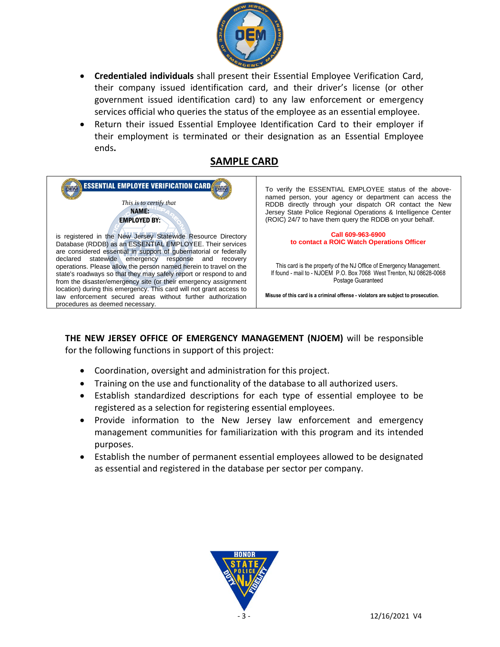

- **Credentialed individuals** shall present their Essential Employee Verification Card, their company issued identification card, and their driver's license (or other government issued identification card) to any law enforcement or emergency services official who queries the status of the employee as an essential employee.
- Return their issued Essential Employee Identification Card to their employer if their employment is terminated or their designation as an Essential Employee ends**.**

#### **SAMPLE CARD**



**THE NEW JERSEY OFFICE OF EMERGENCY MANAGEMENT (NJOEM)** will be responsible for the following functions in support of this project:

- Coordination, oversight and administration for this project.
- Training on the use and functionality of the database to all authorized users.
- Establish standardized descriptions for each type of essential employee to be registered as a selection for registering essential employees.
- Provide information to the New Jersey law enforcement and emergency management communities for familiarization with this program and its intended purposes.
- Establish the number of permanent essential employees allowed to be designated as essential and registered in the database per sector per company.